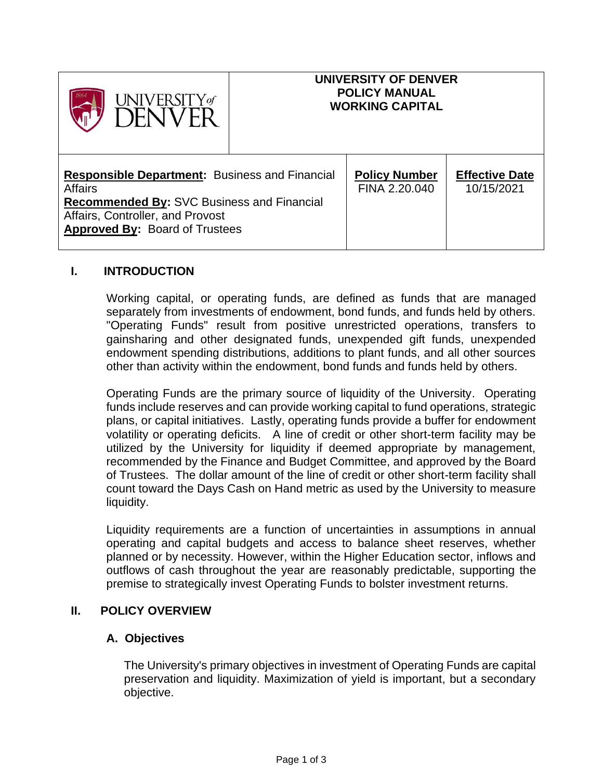| <b>UNIVERSITY</b> of                                                                                                                                                                                      |  | UNIVERSITY OF DENVER<br><b>POLICY MANUAL</b><br><b>WORKING CAPITAL</b> |                                     |
|-----------------------------------------------------------------------------------------------------------------------------------------------------------------------------------------------------------|--|------------------------------------------------------------------------|-------------------------------------|
| <b>Responsible Department:</b> Business and Financial<br><b>Affairs</b><br><b>Recommended By: SVC Business and Financial</b><br>Affairs, Controller, and Provost<br><b>Approved By: Board of Trustees</b> |  | <b>Policy Number</b><br>FINA 2.20.040                                  | <b>Effective Date</b><br>10/15/2021 |

# **I. INTRODUCTION**

Working capital, or operating funds, are defined as funds that are managed separately from investments of endowment, bond funds, and funds held by others. "Operating Funds" result from positive unrestricted operations, transfers to gainsharing and other designated funds, unexpended gift funds, unexpended endowment spending distributions, additions to plant funds, and all other sources other than activity within the endowment, bond funds and funds held by others.

Operating Funds are the primary source of liquidity of the University. Operating funds include reserves and can provide working capital to fund operations, strategic plans, or capital initiatives. Lastly, operating funds provide a buffer for endowment volatility or operating deficits. A line of credit or other short-term facility may be utilized by the University for liquidity if deemed appropriate by management, recommended by the Finance and Budget Committee, and approved by the Board of Trustees. The dollar amount of the line of credit or other short-term facility shall count toward the Days Cash on Hand metric as used by the University to measure liquidity.

Liquidity requirements are a function of uncertainties in assumptions in annual operating and capital budgets and access to balance sheet reserves, whether planned or by necessity. However, within the Higher Education sector, inflows and outflows of cash throughout the year are reasonably predictable, supporting the premise to strategically invest Operating Funds to bolster investment returns.

## **II. POLICY OVERVIEW**

## **A. Objectives**

The University's primary objectives in investment of Operating Funds are capital preservation and liquidity. Maximization of yield is important, but a secondary objective.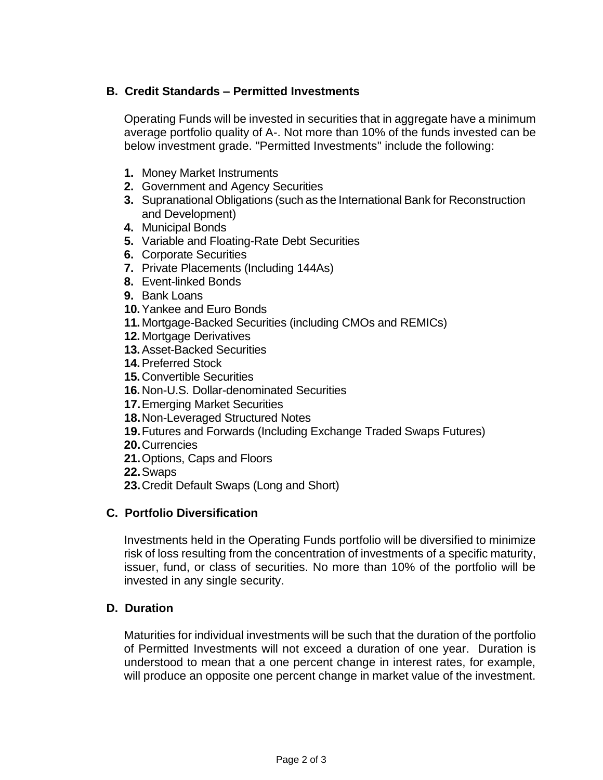# **B. Credit Standards – Permitted Investments**

Operating Funds will be invested in securities that in aggregate have a minimum average portfolio quality of A-. Not more than 10% of the funds invested can be below investment grade. "Permitted Investments" include the following:

- **1.** Money Market Instruments
- **2.** Government and Agency Securities
- **3.** Supranational Obligations (such as the International Bank for Reconstruction and Development)
- **4.** Municipal Bonds
- **5.** Variable and Floating-Rate Debt Securities
- **6.** Corporate Securities
- **7.** Private Placements (Including 144As)
- **8.** Event-linked Bonds
- **9.** Bank Loans
- **10.**Yankee and Euro Bonds
- **11.**Mortgage-Backed Securities (including CMOs and REMICs)
- **12.**Mortgage Derivatives
- **13.**Asset-Backed Securities
- **14.**Preferred Stock
- **15.**Convertible Securities
- **16.**Non-U.S. Dollar-denominated Securities
- **17.**Emerging Market Securities
- **18.**Non-Leveraged Structured Notes
- **19.**Futures and Forwards (Including Exchange Traded Swaps Futures)
- **20.**Currencies
- **21.**Options, Caps and Floors
- **22.**Swaps
- **23.**Credit Default Swaps (Long and Short)

## **C. Portfolio Diversification**

Investments held in the Operating Funds portfolio will be diversified to minimize risk of loss resulting from the concentration of investments of a specific maturity, issuer, fund, or class of securities. No more than 10% of the portfolio will be invested in any single security.

# **D. Duration**

Maturities for individual investments will be such that the duration of the portfolio of Permitted Investments will not exceed a duration of one year. Duration is understood to mean that a one percent change in interest rates, for example, will produce an opposite one percent change in market value of the investment.